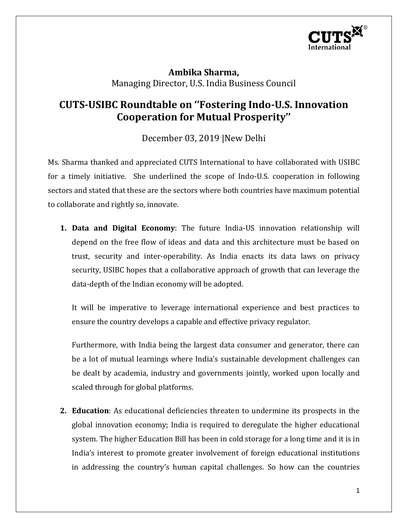

**Ambika Sharma,**  Managing Director, U.S. India Business Council

## **CUTS-USIBC Roundtable on ''Fostering Indo-U.S. Innovation Cooperation for Mutual Prosperity''**

December 03, 2019 |New Delhi

Ms. Sharma thanked and appreciated CUTS International to have collaborated with USIBC for a timely initiative. She underlined the scope of Indo-U.S. cooperation in following sectors and stated that these are the sectors where both countries have maximum potential to collaborate and rightly so, innovate.

**1. Data and Digital Economy**: The future India-US innovation relationship will depend on the free flow of ideas and data and this architecture must be based on trust, security and inter-operability. As India enacts its data laws on privacy security, USIBC hopes that a collaborative approach of growth that can leverage the data-depth of the Indian economy will be adopted.

It will be imperative to leverage international experience and best practices to ensure the country develops a capable and effective privacy regulator.

Furthermore, with India being the largest data consumer and generator, there can be a lot of mutual learnings where India's sustainable development challenges can be dealt by academia, industry and governments jointly, worked upon locally and scaled through for global platforms.

**2. Education**: As educational deficiencies threaten to undermine its prospects in the global innovation economy; India is required to deregulate the higher educational system. The higher Education Bill has been in cold storage for a long time and it is in India's interest to promote greater involvement of foreign educational institutions in addressing the country's human capital challenges. So how can the countries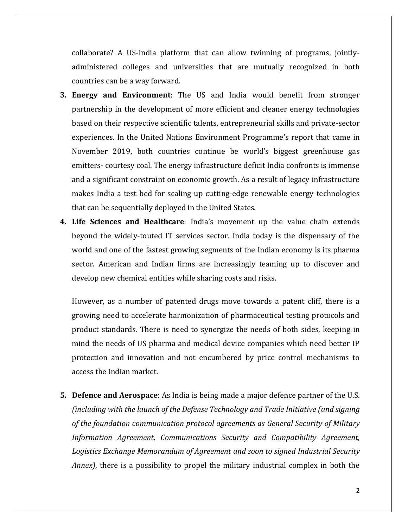collaborate? A US-India platform that can allow twinning of programs, jointlyadministered colleges and universities that are mutually recognized in both countries can be a way forward.

- **3. Energy and Environment**: The US and India would benefit from stronger partnership in the development of more efficient and cleaner energy technologies based on their respective scientific talents, entrepreneurial skills and private-sector experiences. In the United Nations Environment Programme's report that came in November 2019, both countries continue be world's biggest greenhouse gas emitters- courtesy coal. The energy infrastructure deficit India confronts is immense and a significant constraint on economic growth. As a result of legacy infrastructure makes India a test bed for scaling-up cutting-edge renewable energy technologies that can be sequentially deployed in the United States.
- **4. Life Sciences and Healthcare**: India's movement up the value chain extends beyond the widely-touted IT services sector. India today is the dispensary of the world and one of the fastest growing segments of the Indian economy is its pharma sector. American and Indian firms are increasingly teaming up to discover and develop new chemical entities while sharing costs and risks.

However, as a number of patented drugs move towards a patent cliff, there is a growing need to accelerate harmonization of pharmaceutical testing protocols and product standards. There is need to synergize the needs of both sides, keeping in mind the needs of US pharma and medical device companies which need better IP protection and innovation and not encumbered by price control mechanisms to access the Indian market.

**5. Defence and Aerospace**: As India is being made a major defence partner of the U.S. *(including with the launch of the Defense Technology and Trade Initiative (and signing of the foundation communication protocol agreements as General Security of Military Information Agreement, Communications Security and Compatibility Agreement, Logistics Exchange Memorandum of Agreement and soon to signed Industrial Security Annex)*, there is a possibility to propel the military industrial complex in both the